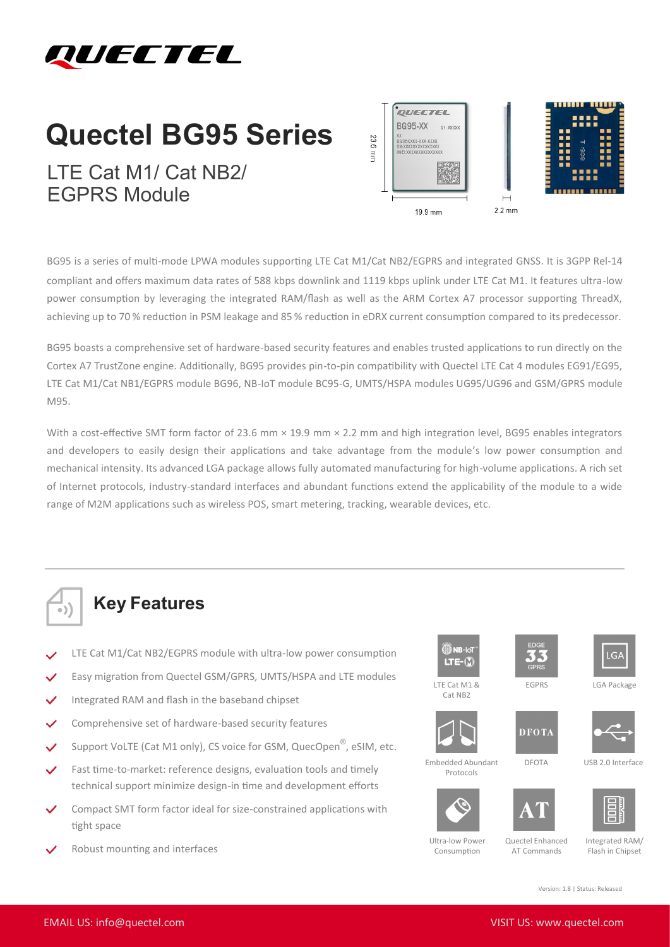

## **Quectel BG95 Series**

LTE Cat M1/ Cat NB2/ EGPRS Module



BG95 is a series of multi-mode LPWA modules supporting LTE Cat M1/Cat NB2/EGPRS and integrated GNSS. It is 3GPP Rel-14 compliant and offers maximum data rates of 588 kbps downlink and 1119 kbps uplink under LTE Cat M1. It features ultra-low power consumption by leveraging the integrated RAM/flash as well as the ARM Cortex A7 processor supporting ThreadX, achieving up to 70 % reduction in PSM leakage and 85 % reduction in eDRX current consumption compared to its predecessor.

BG95 boasts a comprehensive set of hardware-based security features and enables trusted applications to run directly on the Cortex A7 TrustZone engine. Additionally, BG95 provides pin-to-pin compatibility with Quectel LTE Cat 4 modules EG91/EG95, LTE Cat M1/Cat NB1/EGPRS module BG96, NB-IoT module BC95-G, UMTS/HSPA modules UG95/UG96 and GSM/GPRS module M95.

With a cost-effective SMT form factor of 23.6 mm  $\times$  19.9 mm  $\times$  2.2 mm and high integration level, BG95 enables integrators and developers to easily design their applications and take advantage from the module's low power consumption and mechanical intensity. Its advanced LGA package allows fully automated manufacturing for high-volume applications. A rich set of Internet protocols, industry-standard interfaces and abundant functions extend the applicability of the module to a wide range of M2M applications such as wireless POS, smart metering, tracking, wearable devices, etc.



## **Key Features**

- LTE Cat M1/Cat NB2/EGPRS module with ultra-low power consumption
- Easy migration from Quectel GSM/GPRS, UMTS/HSPA and LTE modules
- Integrated RAM and flash in the baseband chipset
- Comprehensive set of hardware-based security features
- Support VoLTE (Cat M1 only), CS voice for GSM, QuecOpen®, eSIM, etc.
- Fast time-to-market: reference designs, evaluation tools and timely technical support minimize design-in time and development efforts
- Compact SMT form factor ideal for size-constrained applications with tight space
- Robust mounting and interfaces







EGPRS LGA Package

 $LGA$ 

LTE Cat M1 & Cat NB<sub>2</sub>



Embedded Abundant Protocols

**DFOTA** 



DFOTA USB 2.0 Interface







Ultra-low Power Consumption

Quectel Enhanced AT Commands

Integrated RAM/ Flash in Chipset

Version: 1.8 | Status: Released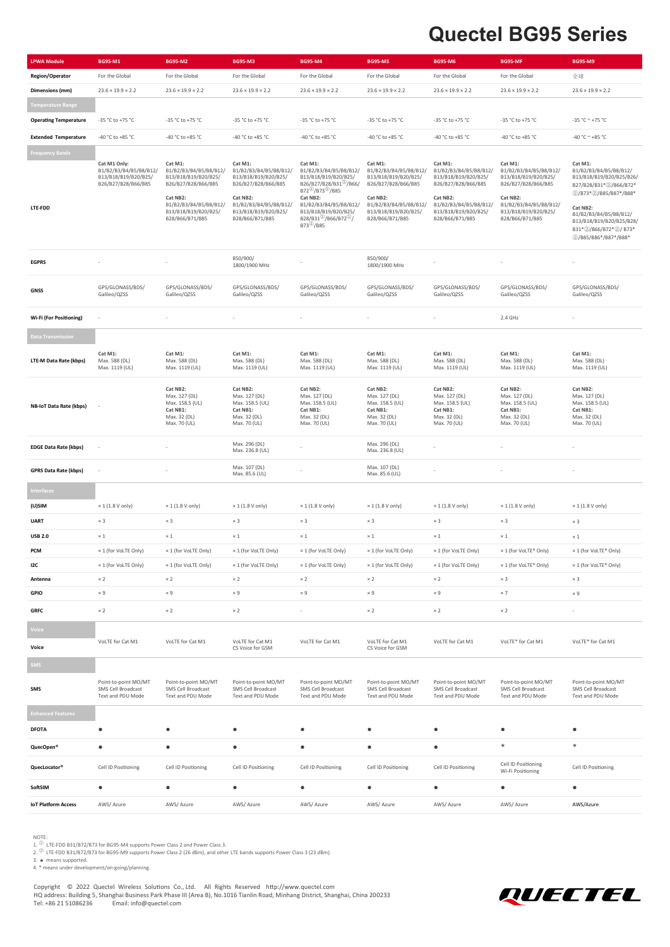## **Quectel BG95 Series**

| <b>LPWA Module</b>           | BG95-M1                                                                               | <b>BG95-M2</b>                                                                                                                                                    | <b>BG95-M3</b>                                                                                                                                                    | <b>BG95-M4</b>                                                                                                                                                                                                                                                                                | <b>BG95-M5</b>                                                                                                                                                    | <b>BG95-M6</b>                                                                                                                                                    | BG95-MF                                                                                                                                                           | <b>BG95-M9</b>                                                                                                                                                                                                                     |
|------------------------------|---------------------------------------------------------------------------------------|-------------------------------------------------------------------------------------------------------------------------------------------------------------------|-------------------------------------------------------------------------------------------------------------------------------------------------------------------|-----------------------------------------------------------------------------------------------------------------------------------------------------------------------------------------------------------------------------------------------------------------------------------------------|-------------------------------------------------------------------------------------------------------------------------------------------------------------------|-------------------------------------------------------------------------------------------------------------------------------------------------------------------|-------------------------------------------------------------------------------------------------------------------------------------------------------------------|------------------------------------------------------------------------------------------------------------------------------------------------------------------------------------------------------------------------------------|
| <b>Region/Operator</b>       | For the Global                                                                        | For the Global                                                                                                                                                    | For the Global                                                                                                                                                    | For the Global                                                                                                                                                                                                                                                                                | For the Global                                                                                                                                                    | For the Global                                                                                                                                                    | For the Global                                                                                                                                                    | 全球                                                                                                                                                                                                                                 |
| Dimensions (mm)              | $23.6 \times 19.9 \times 2.2$                                                         | $23.6 \times 19.9 \times 2.2$                                                                                                                                     | $23.6 \times 19.9 \times 2.2$                                                                                                                                     | $23.6 \times 19.9 \times 2.2$                                                                                                                                                                                                                                                                 | $23.6 \times 19.9 \times 2.2$                                                                                                                                     | $23.6 \times 19.9 \times 2.2$                                                                                                                                     | $23.6 \times 19.9 \times 2.2$                                                                                                                                     | $23.6 \times 19.9 \times 2.2$                                                                                                                                                                                                      |
| <b>Femperature Range</b>     |                                                                                       |                                                                                                                                                                   |                                                                                                                                                                   |                                                                                                                                                                                                                                                                                               |                                                                                                                                                                   |                                                                                                                                                                   |                                                                                                                                                                   |                                                                                                                                                                                                                                    |
| <b>Operating Temperature</b> | -35 °C to +75 °C                                                                      | -35 °C to +75 °C                                                                                                                                                  | -35 °C to +75 °C                                                                                                                                                  | -35 °C to +75 °C                                                                                                                                                                                                                                                                              | -35 °C to +75 °C                                                                                                                                                  | -35 °C to +75 °C                                                                                                                                                  | -35 °C to +75 °C                                                                                                                                                  | $-35 °C \approx +75 °C$                                                                                                                                                                                                            |
| <b>Extended Temperature</b>  | -40 °C to +85 °C                                                                      | -40 °C to +85 °C                                                                                                                                                  | -40 °C to +85 °C                                                                                                                                                  | -40 °C to +85 °C                                                                                                                                                                                                                                                                              | -40 °C to +85 °C                                                                                                                                                  | -40 °C to +85 °C                                                                                                                                                  | -40 °C to +85 °C                                                                                                                                                  | -40 °C $\sim$ +85 °C                                                                                                                                                                                                               |
| <b>Frequency Bands</b>       |                                                                                       |                                                                                                                                                                   |                                                                                                                                                                   |                                                                                                                                                                                                                                                                                               |                                                                                                                                                                   |                                                                                                                                                                   |                                                                                                                                                                   |                                                                                                                                                                                                                                    |
| LTE-FDD                      | Cat M1 Only:<br>B1/B2/B3/B4/B5/B8/B12/<br>B13/B18/B19/B20/B25/<br>B26/B27/B28/B66/B85 | Cat M1:<br>B1/B2/B3/B4/B5/B8/B12/<br>B13/B18/B19/B20/B25/<br>B26/B27/B28/B66/B85<br>Cat NB2:<br>B1/B2/B3/B4/B5/B8/B12/<br>B13/B18/B19/B20/B25/<br>B28/B66/B71/B85 | Cat M1:<br>B1/B2/B3/B4/B5/B8/B12/<br>B13/B18/B19/B20/B25/<br>B26/B27/B28/B66/B85<br>Cat NB2:<br>B1/B2/B3/B4/B5/B8/B12/<br>B13/B18/B19/B20/B25/<br>B28/B66/B71/B85 | Cat M1:<br>B1/B2/B3/B4/B5/B8/B12/<br>B13/B18/B19/B20/B25/<br>B26/B27/B28/B31 <sup>(1)</sup> /B66/<br>B72 <sup>(1)</sup> /B73 <sup>(1)</sup> /B85<br>Cat NB2:<br>B1/B2/B3/B4/B5/B8/B12/<br>B13/B18/B19/B20/B25/<br>B28/B31 <sup>(1)</sup> /B66/B72 <sup>(1)</sup> /<br>B73 <sup>(1)</sup> /B85 | Cat M1:<br>B1/B2/B3/B4/B5/B8/B12/<br>B13/B18/B19/B20/B25/<br>B26/B27/B28/B66/B85<br>Cat NB2:<br>B1/B2/B3/B4/B5/B8/B12/<br>B13/B18/B19/B20/B25/<br>B28/B66/B71/B85 | Cat M1:<br>B1/B2/B3/B4/B5/B8/B12/<br>B13/B18/B19/B20/B25/<br>B26/B27/B28/B66/B85<br>Cat NB2:<br>B1/B2/B3/B4/B5/B8/B12/<br>B13/B18/B19/B20/B25/<br>B28/B66/B71/B85 | Cat M1:<br>B1/B2/B3/B4/B5/B8/B12/<br>B13/B18/B19/B20/B25/<br>B26/B27/B28/B66/B85<br>Cat NB2:<br>B1/B2/B3/B4/B5/B8/B12/<br>B13/B18/B19/B20/B25/<br>B28/B66/B71/B85 | Cat M1:<br>B1/B2/B3/B4/B5/B8/B12/<br>B13/B18/B19/B20/B25/B26/<br>B27/B28/B31*2/B66/B72*<br>2/B73*2/B85/B87*/B88*<br>Cat NB2:<br>B1/B2/B3/B4/B5/B8/B12/<br>B13/B18/B19/B20/B25/B28/<br>B31*2/B66/B72*2/B73*<br>2/B85/B86*/B87*/B88* |
| <b>EGPRS</b>                 |                                                                                       |                                                                                                                                                                   | 850/900/<br>1800/1900 MHz                                                                                                                                         |                                                                                                                                                                                                                                                                                               | 850/900/<br>1800/1900 MHz                                                                                                                                         |                                                                                                                                                                   |                                                                                                                                                                   |                                                                                                                                                                                                                                    |
| <b>GNSS</b>                  | GPS/GLONASS/BDS/<br>Galileo/QZSS                                                      | GPS/GLONASS/BDS/<br>Galileo/QZSS                                                                                                                                  | GPS/GLONASS/BDS/<br>Galileo/QZSS                                                                                                                                  | GPS/GLONASS/BDS/<br>Galileo/QZSS                                                                                                                                                                                                                                                              | GPS/GLONASS/BDS/<br>Galileo/QZSS                                                                                                                                  | GPS/GLONASS/BDS/<br>Galileo/QZSS                                                                                                                                  | GPS/GLONASS/BDS/<br>Galileo/QZSS                                                                                                                                  | GPS/GLONASS/BDS/<br>Galileo/QZSS                                                                                                                                                                                                   |
| Wi-Fi (For Positioning)      | ×,                                                                                    |                                                                                                                                                                   |                                                                                                                                                                   |                                                                                                                                                                                                                                                                                               |                                                                                                                                                                   | ÷.                                                                                                                                                                | 2.4 GHz                                                                                                                                                           | ä,                                                                                                                                                                                                                                 |
| Data Transmission            |                                                                                       |                                                                                                                                                                   |                                                                                                                                                                   |                                                                                                                                                                                                                                                                                               |                                                                                                                                                                   |                                                                                                                                                                   |                                                                                                                                                                   |                                                                                                                                                                                                                                    |
| LTE-M Data Rate (kbps)       | Cat M1:<br>Max. 588 (DL)<br>Max. 1119 (UL)                                            | Cat M1:<br>Max. 588 (DL)<br>Max. 1119 (UL)                                                                                                                        | Cat M1:<br>Max. 588 (DL)<br>Max. 1119 (UL)                                                                                                                        | Cat M1:<br>Max. 588 (DL)<br>Max. 1119 (UL)                                                                                                                                                                                                                                                    | Cat M1:<br>Max. 588 (DL)<br>Max. 1119 (UL)                                                                                                                        | Cat M1:<br>Max. 588 (DL)<br>Max. 1119 (UL)                                                                                                                        | Cat M1:<br>Max. 588 (DL)<br>Max. 1119 (UL)                                                                                                                        | Cat M1:<br>Max. 588 (DL)<br>Max. 1119 (UL)                                                                                                                                                                                         |
| NB-IoT Data Rate (kbps)      |                                                                                       | Cat NB2:<br>Max. 127 (DL)<br>Max. 158.5 (UL)<br>Cat NB1:<br>Max. 32 (DL)<br>Max. 70 (UL)                                                                          | Cat NB2:<br>Max. 127 (DL)<br>Max. 158.5 (UL)<br>Cat NB1:<br>Max. 32 (DL)<br>Max. 70 (UL)                                                                          | Cat NB2:<br>Max. 127 (DL)<br>Max. 158.5 (UL)<br>Cat NB1:<br>Max. 32 (DL)<br>Max. 70 (UL)                                                                                                                                                                                                      | Cat NB2:<br>Max. 127 (DL)<br>Max. 158.5 (UL)<br>Cat NB1:<br>Max. 32 (DL)<br>Max. 70 (UL)                                                                          | Cat NB2:<br>Max. 127 (DL)<br>Max. 158.5 (UL)<br>Cat NB1:<br>Max. 32 (DL)<br>Max. 70 (UL)                                                                          | Cat NB2:<br>Max. 127 (DL)<br>Max. 158.5 (UL)<br>Cat NB1:<br>Max. 32 (DL)<br>Max. 70 (UL)                                                                          | Cat NB2:<br>Max. 127 (DL)<br>Max. 158.5 (UL)<br>Cat NB1:<br>Max. 32 (DL)<br>Max. 70 (UL)                                                                                                                                           |
| <b>EDGE Data Rate (kbps)</b> |                                                                                       |                                                                                                                                                                   | Max. 296 (DL)<br>Max. 236.8 (UL)                                                                                                                                  |                                                                                                                                                                                                                                                                                               | Max. 296 (DL)<br>Max. 236.8 (UL)                                                                                                                                  |                                                                                                                                                                   |                                                                                                                                                                   |                                                                                                                                                                                                                                    |
| <b>GPRS Data Rate (kbps)</b> |                                                                                       |                                                                                                                                                                   | Max. 107 (DL)<br>Max. 85.6 (UL)                                                                                                                                   |                                                                                                                                                                                                                                                                                               | Max. 107 (DL)<br>Max. 85.6 (UL)                                                                                                                                   |                                                                                                                                                                   |                                                                                                                                                                   |                                                                                                                                                                                                                                    |
| nterfaces                    |                                                                                       |                                                                                                                                                                   |                                                                                                                                                                   |                                                                                                                                                                                                                                                                                               |                                                                                                                                                                   |                                                                                                                                                                   |                                                                                                                                                                   |                                                                                                                                                                                                                                    |
| (U)SIM                       | $\times$ 1 (1.8 V only)                                                               | $\times$ 1 (1.8 V only)                                                                                                                                           | $\times$ 1 (1.8 V only)                                                                                                                                           | $\times$ 1 (1.8 V only)                                                                                                                                                                                                                                                                       | $\times$ 1 (1.8 V only)                                                                                                                                           | $\times$ 1 (1.8 V only)                                                                                                                                           | $\times$ 1 (1.8 V only)                                                                                                                                           | $\times$ 1 (1.8 V only)                                                                                                                                                                                                            |
| <b>UART</b>                  | $\times$ 3                                                                            | $\times$ 3                                                                                                                                                        | $\times$ 3                                                                                                                                                        | $\times$ 3                                                                                                                                                                                                                                                                                    | $\times$ 3                                                                                                                                                        | $\times$ 3                                                                                                                                                        | $\times$ 3                                                                                                                                                        | $\times$ 3                                                                                                                                                                                                                         |
| <b>USB 2.0</b>               | $\times$ 1                                                                            | $\times$ 1                                                                                                                                                        | $\times$ 1                                                                                                                                                        | $\times$ 1                                                                                                                                                                                                                                                                                    | $\times$ 1                                                                                                                                                        | $\times$ 1                                                                                                                                                        | $\times$ 1                                                                                                                                                        | $\times$ 1                                                                                                                                                                                                                         |
| PCM                          | × 1 (for VoLTE Only)                                                                  | × 1 (for VoLTE Only)                                                                                                                                              | × 1 (for VoLTE Only)                                                                                                                                              | × 1 (for VoLTE Only)                                                                                                                                                                                                                                                                          | x 1 (for VoLTE Only)                                                                                                                                              | × 1 (for VoLTE Only)                                                                                                                                              | × 1 (for VoLTE* Only)                                                                                                                                             | × 1 (for VoLTE* Only)                                                                                                                                                                                                              |
| I2C                          | × 1 (for VoLTE Only)                                                                  | × 1 (for VoLTE Only)                                                                                                                                              | × 1 (for VoLTE Only)                                                                                                                                              | × 1 (for VoLTE Only)                                                                                                                                                                                                                                                                          | × 1 (for VoLTE Only)                                                                                                                                              | × 1 (for VoLTE Only)                                                                                                                                              | × 1 (for VoLTE* Only)                                                                                                                                             | × 1 (for VoLTE* Only)                                                                                                                                                                                                              |
| Antenna                      | $\times 2$                                                                            | $\times 2$                                                                                                                                                        | $\times$ 2                                                                                                                                                        | $\times 2$                                                                                                                                                                                                                                                                                    | $\times 2$                                                                                                                                                        | $\times$ 2                                                                                                                                                        | $\times 3$                                                                                                                                                        | $\times$ 3                                                                                                                                                                                                                         |
| GPIO                         | $\times 9$                                                                            | $\times 9$                                                                                                                                                        | $\times$ 9                                                                                                                                                        | $\times 9$                                                                                                                                                                                                                                                                                    | $\times 9$                                                                                                                                                        | $\times$ 9                                                                                                                                                        | $\times$ 7                                                                                                                                                        | $\times$ 9                                                                                                                                                                                                                         |
| <b>GRFC</b>                  | $\times 2$                                                                            | $\times 2$                                                                                                                                                        | $\times$ 2                                                                                                                                                        | $\sim$                                                                                                                                                                                                                                                                                        | $\times 2$                                                                                                                                                        | $\times$ 2                                                                                                                                                        | $\times$ 2                                                                                                                                                        |                                                                                                                                                                                                                                    |
| oice                         |                                                                                       |                                                                                                                                                                   |                                                                                                                                                                   |                                                                                                                                                                                                                                                                                               |                                                                                                                                                                   |                                                                                                                                                                   |                                                                                                                                                                   |                                                                                                                                                                                                                                    |
| Voice                        | VoLTE for Cat M1                                                                      | VoLTE for Cat M1                                                                                                                                                  | VoLTE for Cat M1<br>CS Voice for GSM                                                                                                                              | VoLTE for Cat M1                                                                                                                                                                                                                                                                              | VoLTE for Cat M1<br>CS Voice for GSM                                                                                                                              | VoLTE for Cat M1                                                                                                                                                  | VoLTE* for Cat M1                                                                                                                                                 | VoLTE* for Cat M1                                                                                                                                                                                                                  |
| <b>MS</b>                    |                                                                                       |                                                                                                                                                                   |                                                                                                                                                                   |                                                                                                                                                                                                                                                                                               |                                                                                                                                                                   |                                                                                                                                                                   |                                                                                                                                                                   |                                                                                                                                                                                                                                    |
| SMS                          | Point-to-point MO/MT<br>SMS Cell Broadcast<br>Text and PDU Mode                       | Point-to-point MO/MT<br>SMS Cell Broadcast<br>Text and PDU Mode                                                                                                   | Point-to-point MO/MT<br>SMS Cell Broadcast<br>Text and PDU Mode                                                                                                   | Point-to-point MO/MT<br>SMS Cell Broadcast<br>Text and PDU Mode                                                                                                                                                                                                                               | Point-to-point MO/MT<br>SMS Cell Broadcast<br>Text and PDU Mode                                                                                                   | Point-to-point MO/MT<br>SMS Cell Broadcast<br>Text and PDU Mode                                                                                                   | Point-to-point MO/MT<br>SMS Cell Broadcast<br>Text and PDU Mode                                                                                                   | Point-to-point MO/MT<br>SMS Cell Broadcast<br>Text and PDU Mode                                                                                                                                                                    |
| <b>Enhanced Features</b>     |                                                                                       |                                                                                                                                                                   |                                                                                                                                                                   |                                                                                                                                                                                                                                                                                               |                                                                                                                                                                   |                                                                                                                                                                   |                                                                                                                                                                   |                                                                                                                                                                                                                                    |
| <b>DFOTA</b>                 | $\bullet$                                                                             |                                                                                                                                                                   |                                                                                                                                                                   | $\bullet$                                                                                                                                                                                                                                                                                     | $\bullet$                                                                                                                                                         | $\bullet$                                                                                                                                                         |                                                                                                                                                                   | $\bullet$                                                                                                                                                                                                                          |
| QuecOpen®                    | $\bullet$                                                                             | $\bullet$                                                                                                                                                         | $\bullet$                                                                                                                                                         | $\bullet$                                                                                                                                                                                                                                                                                     | $\bullet$                                                                                                                                                         | $\bullet$                                                                                                                                                         | *                                                                                                                                                                 | $\ast$                                                                                                                                                                                                                             |
| QuecLocator®                 | Cell ID Positioning                                                                   | Cell ID Positioning                                                                                                                                               | Cell ID Positioning                                                                                                                                               | Cell ID Positioning                                                                                                                                                                                                                                                                           | Cell ID Positioning                                                                                                                                               | Cell ID Positioning                                                                                                                                               | Cell ID Positioning<br>Wi-Fi Positioning                                                                                                                          | Cell ID Positioning                                                                                                                                                                                                                |
| SoftSIM                      | $\bullet$                                                                             | $\bullet$                                                                                                                                                         | $\bullet$                                                                                                                                                         | $\bullet$                                                                                                                                                                                                                                                                                     | $\bullet$                                                                                                                                                         | $\bullet$                                                                                                                                                         | $\bullet$                                                                                                                                                         | $\bullet$                                                                                                                                                                                                                          |
| <b>IoT Platform Access</b>   | AWS/ Azure                                                                            | AWS/ Azure                                                                                                                                                        | AWS/ Azure                                                                                                                                                        | AWS/ Azure                                                                                                                                                                                                                                                                                    | AWS/ Azure                                                                                                                                                        | AWS/ Azure                                                                                                                                                        | AWS/Azure                                                                                                                                                         | AWS/Azure                                                                                                                                                                                                                          |

NOTE:<br>1. © LTE-FDD B31/B72/B73 for BG95-M4 supports Power Class 2 and Power Class 3.<br>2. © LTE-FDD B31/B72/B73 for BG95-M9 supports Power Class 2 (26 dBm), and other LTE bands supports Power Class 3 (23 dBm).<br>3. ● means su

Copyright © 2022 Quectel Wireless Solutions Co., Ltd. All Rights Reserved http://www.quectel.com<br>HQ address: Building 5, Shanghai Business Park Phase III (Area B), No.1016 Tianlin Road, Minhang District, Shanghai, China 20